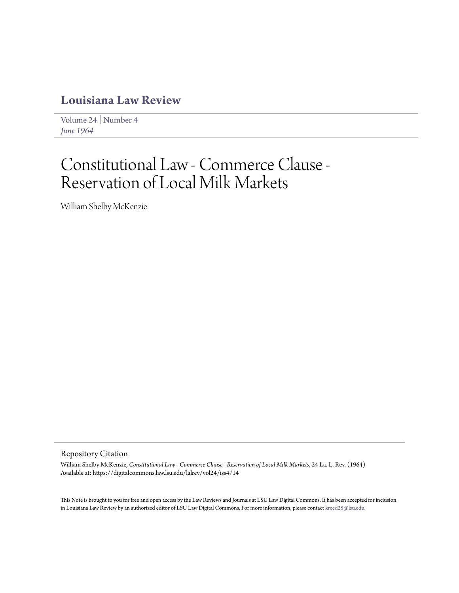# **[Louisiana Law Review](https://digitalcommons.law.lsu.edu/lalrev)**

[Volume 24](https://digitalcommons.law.lsu.edu/lalrev/vol24) | [Number 4](https://digitalcommons.law.lsu.edu/lalrev/vol24/iss4) *[June 1964](https://digitalcommons.law.lsu.edu/lalrev/vol24/iss4)*

# Constitutional Law - Commerce Clause - Reservation of Local Milk Markets

William Shelby McKenzie

## Repository Citation

William Shelby McKenzie, *Constitutional Law - Commerce Clause - Reservation of Local Milk Markets*, 24 La. L. Rev. (1964) Available at: https://digitalcommons.law.lsu.edu/lalrev/vol24/iss4/14

This Note is brought to you for free and open access by the Law Reviews and Journals at LSU Law Digital Commons. It has been accepted for inclusion in Louisiana Law Review by an authorized editor of LSU Law Digital Commons. For more information, please contact [kreed25@lsu.edu](mailto:kreed25@lsu.edu).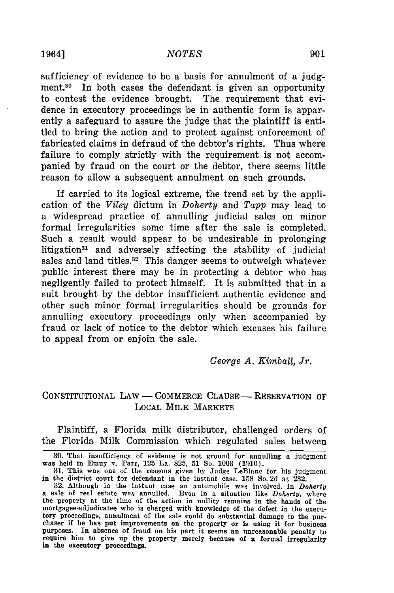#### *NOTES*

sufficiency of evidence to be a basis for annulment of a judgment.30 In both cases the defendant is given an opportunity to contest the evidence brought. The requirement that evidence in executory proceedings be in authentic form is apparently a safeguard to assure the judge that the plaintiff is entitled to bring the action and to protect against enforcement of fabricated claims in defraud of the debtor's rights. Thus where failure to comply strictly with the requirement is not accompanied by fraud on the court or the debtor, there seems little reason to allow a subsequent annulment on such grounds.

If carried to its logical extreme, the trend set by the application of the *Viley* dictum in *Doherty* and *Tapp* may lead to a widespread practice of annulling judicial sales on minor formal irregularities some time after the sale is completed. Such a result would appear to be undesirable in prolonging litigation<sup>31</sup> and adversely affecting the stability of judicial sales and land titles. $32$  This danger seems to outweigh whatever public interest there may be in protecting a debtor who has negligently failed to protect himself. It is submitted that in a suit brought by the debtor insufficient authentic evidence and other such minor formal irregularities should be grounds for annulling executory proceedings only when accompanied by fraud or lack of notice to the debtor which excuses his failure to appeal from or enjoin the sale.

#### *George A. Kimball, Jr.*

#### CONSTITUTIONAL LAW – COMMERCE CLAUSE – RESERVATION OF LOCAL MILK MARKETS

Plaintiff, a Florida milk distributor, challenged orders of the Florida Milk Commission which regulated sales between

<sup>30.</sup> That insufficiency of evidence is not ground for annulling a judgment was held in Emuy v. Farr, 125 La. 825, 51 So. 1003 (1910).

<sup>31.</sup> This was one of the reasons given by Judge LeBlanc for his judgment in the district court for defendant in the instant case. 158 So. 2d at 232.

<sup>32.</sup> Although in the instant case an automobile was involved, in *Doherty* a sale of real estate was annulled. Even in a situation like *Doherty,* where the property at the time of the action in nullity remains in the hands of the mortgagee-adjudicatee who is charged with knowledge of the defect in the execu- tory proceedings, annulment of the sale could do substantial damage to the purchaser if he has put improvements on the property or is using it for business purposes. In absence of fraud on his part it seems an unreasonable penalty to require him to give up the property merely because of a formal irregularity in the executory proceedings.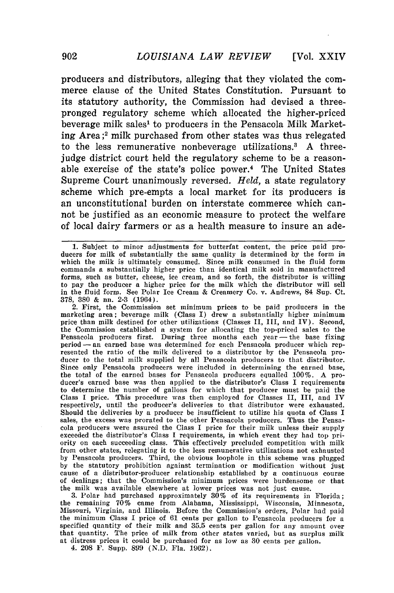producers and distributors, alleging that they violated the commerce clause of the United States Constitution. Pursuant to its statutory authority, the Commission had devised a threepronged regulatory scheme which allocated the higher-priced beverage milk sales' to producers in the Pensacola Milk Marketing Area;<sup>2</sup> milk purchased from other states was thus relegated to the less remunerative nonbeverage utilizations.3 A threejudge district court held the regulatory scheme to be a reasonable exercise of the state's police power.<sup>4</sup> The United States Supreme Court unanimously reversed. *Held,* a state regulatory scheme which pre-empts a local market for its producers is an unconstitutional burden on interstate commerce which cannot be justified as an economic measure to protect the welfare of local dairy farmers or as a health measure to insure an ade-

2. First, the Commission set minimum prices to be paid producers in the marketing area; beverage milk (Class **I)** drew a substantially higher minimum price than milk destined for other utilizations (Classes II, III, and IV). Second, the Commission established a system for allocating the top-priced sales to the Pensacola producers first. During three months each year — the base fixing period - an earned base was determined for each Pensacola producer which represented the ratio of the milk delivered to a distributor by the Pensacola producer to the total milk supplied by all Pensacola producers to that distributor. Since only Pensacola producers were included in determining the earned base, the total of the earned bases for Pensacola producers equalled 100%. A producer's earned base was then applied to the distributor's Class I requirements to determine the number of gallons for which that producer must be paid the Class **I** price. This procedure was then employed for Classes II, III, and IV respectively, until the producer's deliveries to that distributor were exhausted. Should the deliveries by a producer be insufficient to utilize his quota of Class I sales, the excess was prorated to the other Pensacola producers. Thus the Pensacola producers were assured the Class I price for their milk unless their supply exceeded the distributor's Class I requirements, in which event they had top priority on each succeeding class. This effectively precluded competition with milk from other states, relegating it to the less remunerative utilizations not exhausted by Pensacola producers. Third, the obvious loophole in this scheme was plugged by the statutory prohibition against termination or modification without just cause of a distributor-producer relationship established by a continuous course of dealings; that the Commission's minimum prices were burdensome or that the milk was available elsewhere at lower prices was not just cause. 3. Polar had purchased approximately 30% of its requirements in Florida;

the remaining 70% came from Alabama, Mississippi, Wisconsin, Minnesota<br>Missouri, Virginia, and Illinois. Before the Commission's orders. Polar had paid the minimum Class I price of 61 cents per gallon to Pensacola producers for a specified quantity of their milk and 35.5 cents per gallon for any amount over that quantity. The price of milk from other states varied, but as surplus milk at distress prices it could be purchased for as low as 30 cents per gallon.

4. 208 F. Supp. 899 **(N.D.** Fla. 1962).

<sup>1.</sup> Subject to minor adjustments for butterfat content, the price paid producers for milk of substantially the same quality is determined by the form in which the milk is ultimately consumed. Since milk consumed in the fluid form commands a substantially higher price than identical milk sold in manufactured forms, such as butter, cheese, ice cream, and so forth, the distributor is willing to pay the producer a higher price for the milk which the distributor will sell in the fluid form. See Polar Ice Cream & Creamery Co. v. Andrews, 84 Sup. Ct. 378, 380 & nn. 2-3 (1964).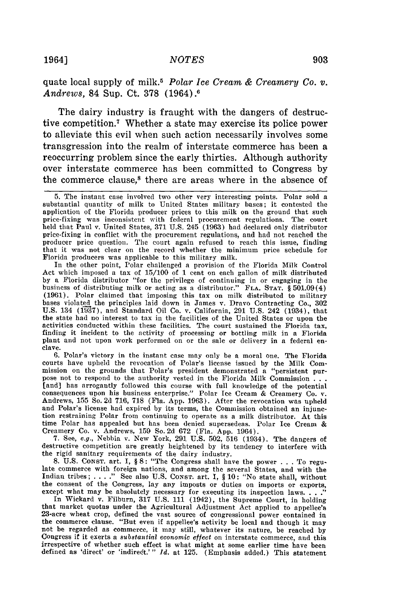quate local supply of milk.5 *Polar Ice Cream & Creamery Co. v. Andrews,* 84 Sup. Ct. **378** (1964).6

The dairy industry is fraught with the dangers of destructive competition.7 Whether a state may exercise its police power to alleviate this evil when such action necessarily involves some transgression into the realm of interstate commerce has been a reoccurring problem since the early thirties. Although authority over interstate commerce has been committed to Congress **by** the commerce clause,<sup>8</sup> there are areas where in the absence of

In the other point, Polar challenged a provision of the Florida Milk Control Act which imposed a tax of 15/100 of 1 cent on each gallon of milk distributed by a Florida distributor "for the privilege of continuing in or engaging in the business of distributing milk or acting as a distributor." FLA. STAT. § 501.09(4) (1961). Polar claimed that imposing this tax on milk distributed to military bases violated the principles laid down in James v. Dravo Contracting Co., 302 U.S. 134 (137), and Standard Oil Co. v. California, 291 U.S. 242 (1934), that the state had no interest to tax in the facilities of the United States or upon the activities conducted within these facilities. The court sustained the Florida tax, finding it incident to the activity of processing or bottling milk in a Florida plant and not upon work performed on or the sale or delivery in a federal enclave.

**6.** Polar's victory in the instant case may only be a moral one. The Florida courts have upheld the revocation of Polar's license issued by the Milk Commission on the grounds that Polar's president demonstrated a "persistent purpose not to respond to the authority vested in the Florida Milk Commission **. . .** [and] has arrogantly followed this course with full knowledge of the potential consequences upon his business enterprise." Polar Ice Cream & Creamery Co. v<br>Andrews, 155 So. 2d 716, 718 (Fla. App. 1963). After the revocatio Andrews, 155 So. 2d 716, 718 (Fla. App. 1963). After the revocation was upheld and Polar's license had expired by its terms, the Commission obtained an injunction restraining Polar from continuing to operate as a milk distributor. At this time Polar has appealed but has been denied supersedeas. Polar Ice Cream & Creamery Co. v. Andrews, 159 So. 2d 672 (Fla. App. 1964). 7. See, e.g., Nebbia v. New York, 291 U.S. 502, **516** (1934). The dangers of

destructive competition are greatly heightened by its tendency to interfere with the rigid sanitary requirements of the dairy industry.

**8.** U.S. **CONST.** art. I, § 8: "The Congress shall have the power . **.** . To regulate commerce with foreign nations, and among the several States, and with the Indian tribes; .... **."** See also U.S. **CONST.** art. **1,** § 10: "No state shall, without the consent of the Congress, lay any imposts or duties on imports or exports,

except what may be absolutely necessary for executing its inspection laws **... "** In Wickard v. Filburn, 317 U.S. 111 (1942), the Supreme Court, in holding that market quotas under the Agricultural Adjustment Act applied to appellee's 23-acre wheat crop, defined the vast source of congressional power contained in the commerce clause. "But even if appellee's activity be local and though it may not be regarded as commerce, it may still, whatever its nature, be reached by Congress if it exerts a *substantial* economic effect on interstate commerce, and this irrespective of whether such effect is what might at some earlier time have been defined as 'direct' or 'indirect.' " *Id.* at 125. (Emphasis added.) This statement

<sup>5.</sup> The instant case involved two other very interesting points. Polar sold a substantial quantity of milk to United States military bases; it contested the application of the Florida producer prices to this milk on the ground that such price-fixing was inconsistent with federal procurement regulations. The court held that Paul v. United States, 371 U.S. 245 (1963) had declared only distributor price-fixing in conflict with the procurement regulations, and had not reached the producer price question. The court again refused to reach this issue, finding that it was not clear on the record whether the minimum price schedule for Florida producers was applicable to this military milk.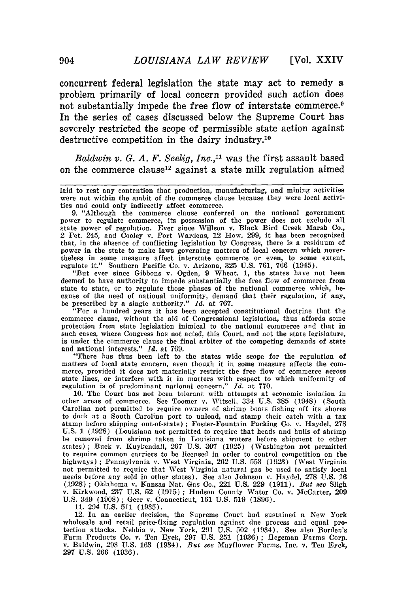concurrent federal legislation the state may act to remedy a problem primarily of local concern provided such action does not substantially impede the free flow of interstate commerce.<sup>9</sup> In the series of cases discussed below the Supreme Court has severely restricted the scope of permissible state action against destructive competition in the dairy industry.10

*Baldwin v. G. A. F. Seelig, Inc.,"* was the first assault based on the commerce clause<sup>12</sup> against a state milk regulation aimed

9. "Although the commerce clause conferred on the national government power to regulate commerce, its possession of the power does not exclude all state power of regulation. Ever since Willson v. Black Bird Creek Marsh Co., 2 Pet. 245, and Cooley v. Port Wardens, 12 How. **299,** it has been recognized that, in the absence of conflicting legislation **by** Congress, there is a residuum of power in the state to make laws governing matters of local concern which nevertheless in some measure affect interstate commerce or even, to some extent, regulate it." Southern Pacific Co. v. Arizona, **325 U.S. 761, 766** (1945).

"But ever since Gibbons v. Ogden, **9** Wheat. **1,** the states have not been deemed to have authority to impede substantially the free flow of commerce from state to state, or to regulate those phases of the national commerce which, because of the need of national uniformity, demand that their regulation, if any, be prescribed **by** a single authority." *Id.* at **767.**

"For a hundred years it has been accepted constitutional doctrine that the commerce clause, without the aid of Congressional legislation, thus affords some protection from state legislation inimical to the national commerce and that in such cases, where Congress has not acted, this Court, and not the state legislature, is under the commerce clause the final arbiter of the competing demands of state and national interests." *Id.* at 769.

"There has thus been left to the states wide scope for the regulation of matters of local state concern, even though it in some measure affects the com- merce, provided it does not materially restrict the free flow of commerce across state lines, or interfere with it in matters with respect to which uniformity of regulation is of predominant national concern." *Id.* at **770.**

**10.** The Court has not been tolerant with attempts at economic isolation in other areas of commerce. See Toomer v. Witsell, 334 U.S. 385 (1948) (South Carolina not permitted to require owners of shrimp boats fishing off its shores to dock at a South Carolina port to unload, and stamp their catch with a tax stamp before shipping out-of-state) **;** Foster-Fountain Packing Co. v. Haydel, 278 U.S. 1 (1928) (Louisiana not permitted to require that heads and hulls of shrimp be removed from shrimp taken in Louisiana waters before shipment to other states); Buck v. Kuykendall, 267 U.S. 307 (1925) (Washington not permitted to require common carriers to be licensed in order to control competition on the highways) **;** Pennsylvania v. West Virginia, 262 U.S. 553 (1923) (West Virginia not permitted to require that West Virginia natural gas be used to satisfy local needs before any sold in other states). See also Johnson v. Haydel, **278** U.S. 16 (1928) **;** Oklahoma v. Kansas Nat. Gas Co., 221 U.S. 229 (1911). *But see* Sligh v. Kirkwood, 237 U.S. **52** (1915) ; Hudson County Water Co. v. McCarter, 209 U.S. 349 (1908) **;** Geer v. Connecticut, 161 U.S. 519 (1896).

**11.** 294 U.S. 511 (1935).

12. In an earlier decision, the Supreme Court had sustained a New York wholesale and retail price-fixing regulation against due process and equal pro-tection attacks. Nebbia v. New York, 291 U.S. 502 (1934). See also Borden's Farm Products Co. v. Ten Eyck, 297 U.S. 251 (1936) **;** egeman Farms Corp. v. Baldwin, 293 U.S. 163 (1934). *But 8ee* Mayflower Farms, Inc. v. Ten Eyck, 297 U.S. 266 (1936).

laid to rest any contention that production, manufacturing, and mining activities were not within the ambit of the commerce clause because they were local activi-<br>ties and could only indirectly affect commerce.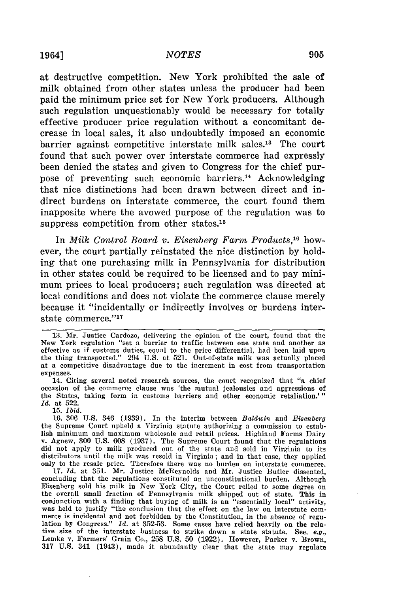#### 1964] *NOTES*

at destructive competition. New York prohibited the sale of milk obtained from other states unless the producer had been paid the minimum price set for New York producers. Although such regulation unquestionably would be necessary for totally effective producer price regulation without a concomitant decrease in local sales, it also undoubtedly imposed an economic barrier against competitive interstate milk sales.13 The court found that such power over interstate commerce had expressly been denied the states and given to Congress for the chief purpose of preventing such economic barriers.<sup>14</sup> Acknowledging that nice distinctions had been drawn between direct and indirect burdens on interstate commerce, the court found them inapposite where the avowed purpose of the regulation was to suppress competition from other states.15

In *Milk Control Board v. Eisenberg Farm Products,16* however, the court partially reinstated the nice distinction by holding that one purchasing milk in Pennsylvania for distribution in other states could be required to be licensed and to pay minimum prices to local producers; such regulation was directed at local conditions and does not violate the commerce clause merely because it "incidentally or indirectly involves or burdens interstate commerce."17

**15.** *lbid.*

<sup>13.</sup> Mr. Justice Cardozo, delivering the opinion of the court, found that the New York regulation "set a barrier to traffic between one state and another as effective as if customs duties, equal to the price differential, had been laid upon the thing transported." 294 U.S. at 521. Out-of-state milk was actually placed at a competitive disadvantage due to the increment in cost from transportation expenses.

<sup>14.</sup> Citing several noted research sources, the court recognized that "a chief occasion of the commerce clause was 'the mutual jealousies and aggressions of the States, taking form in customs barriers and other economic retaliation.' *Id.* at 522.

<sup>16. 306</sup> U.S. 346 (1939). In the interim between *Baldwin* and *Eisenberg* the Supreme Court upheld a Virginia statute authorizing a commission to establish minimum and maximum wholesale and retail prices. Highland Farms Dairy v. Agnew, 300 U.S. 608 (1937). The Supreme Court found that the regulations did not apply to milk produced out of the state and sold in Virginia to it distributors until the milk was resold in Virginia; and in that case, they applied only to the resale price. Therefore there was no burden on interstate commerce. **17.** *Id.* at 351. Mr. Justice McReynolds and Mr. Justice Butler dissented,

concluding that the regulations constituted an unconstitutional burden. Although Eisenberg sold his milk in New York City, the Court relied to some degree on<br>the overall small fraction of Pennsylvania milk shipped out of state. This in<br>conjunction with a finding that buying of milk is an "essentially l was held to justify "the conclusion that the effect on the law on interstate com-<br>merce is incidental and not forbidden by the Constitution, in the absence of regumerce is incidental and not forbidden by the Constitution, in the absence of regulation by Congress." *Id.* at 352-53. Some cases have relied heavily on the relative size of the interstate business to strike down a state statute. See, *e.g.,* Lemke v. Farmers' Grain Co., 258 U.S. 50 (1922). However, Parker v. Brown, 317 U.S. 341 (1943), made it abundantly clear that the state may regulate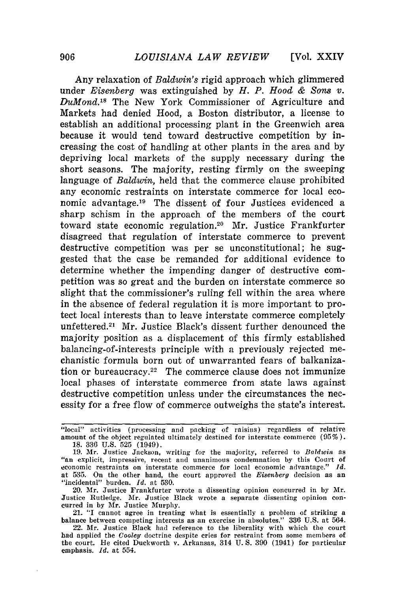**[Vol.** XXIV

Any relaxation of *Baldwin's* rigid approach which glimmered under *Eisenberg* was extinguished by *H. P. Hood & Sons v. DuMond.'5* The New York Commissioner of Agriculture and Markets had denied Hood, a Boston distributor, a license to establish an additional processing plant in the Greenwich area because it would tend toward destructive competition by increasing the cost of handling at other plants in the area and by depriving local markets of the supply necessary during the short seasons. The majority, resting firmly on the sweeping language of *Baldwin,* held that the commerce clause prohibited any economic restraints on interstate commerce for local economic advantage.<sup>19</sup> The dissent of four Justices evidenced a sharp schism in the approach of the members of the court toward state economic regulation.<sup>20</sup> Mr. Justice Frankfurter disagreed that regulation of interstate commerce to prevent destructive competition was per se unconstitutional; he suggested that the case be remanded for additional evidence to determine whether the impending danger of destructive competition was so great and the burden on interstate commerce so slight that the commissioner's ruling fell within the area where in the absence of federal regulation it is more important to protect local interests than to leave interstate commerce completely unfettered.<sup>21</sup> Mr. Justice Black's dissent further denounced the majority position as a displacement of this firmly established balancing-of-interests principle with a previously rejected mechanistic formula born out of unwarranted fears of balkanization or bureaucracy.<sup>22</sup> The commerce clause does not immunize local phases of interstate commerce from state laws against destructive competition unless under the circumstances the necessity for a free flow of commerce outweighs the state's interest.

21. "I cannot agree in treating what is essentially a problem of striking a balance between competing interests as an exercise in absolutes." 336 U.S. at 564.

<sup>&</sup>quot;local" activities (processing and packing of raisins) regardless of relative amount of the object regulated ultimately destined for interstate commerce (95%). 18. **336** U.S. 525 (1949).

<sup>19.</sup> Mr. Justice Jackson, writing for the majority, referred to *Baldwin* as "an explicit, impressive, recent and unanimous condemnation by this Court of economic restraints on interstate commerce for local economic advantage." *Id.* at 535. On the other hand, the court approved the *Eisenberg* decision as an "incidental" burden. *Id.* at 530.

<sup>20.</sup> Mr. Justice Frankfurter wrote a dissenting opinion concurred in by Mr. Justice Rutledge. Mr. Justice Black wrote a separate dissenting opinion concurred in by Mr. Justice Murphy.

<sup>22.</sup> Mr. Justice Black had reference to the liberality with which the court had applied the *Cooley* doctrine despite cries for restraint from some members of the court. He cited Duckworth v. Arkansas, 314 U. **S.** 390 (1941) for particular emphasis. *Id.* at 554.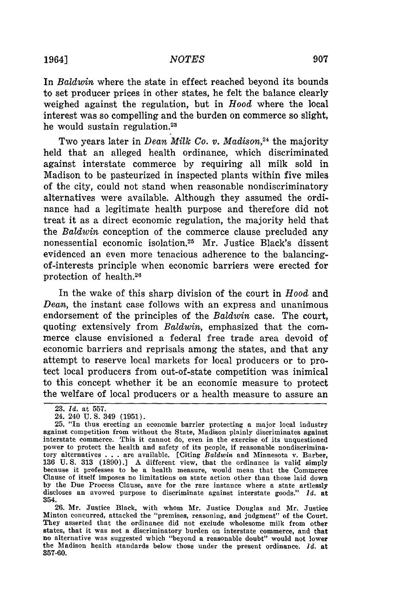In *Baldwin* where the state in effect reached beyond its bounds to set producer prices in other states, he felt the balance clearly weighed against the regulation, but in Hood where the local interest was so compelling and the burden on commerce so slight, he would sustain regulation.<sup>23</sup>

Two years later in *Dean Milk Co. v. Madison*,<sup>24</sup> the majority held that an alleged health ordinance, which discriminated against interstate commerce by requiring all milk sold in Madison to be pasteurized in inspected plants within five miles of the city, could not stand when reasonable nondiscriminatory alternatives were available. Although they assumed the ordinance had a legitimate health purpose and therefore did not treat it as a direct economic regulation, the majority held that the *Baldwin* conception of the commerce clause precluded any nonessential economic isolation.<sup>25</sup> Mr. Justice Black's dissent evidenced an even more tenacious adherence to the balancingof-interests principle when economic barriers were erected for protection of health. <sup>26</sup>

In the wake of this sharp division of the court in *Hood* and *Dean,* the instant case follows with an express and unanimous endorsement of the principles of the *Baldwin* case. The court, quoting extensively from *Baldwin,* emphasized that the commerce clause envisioned a federal free trade area devoid of economic barriers and reprisals among the states, and that any attempt to reserve local markets for local producers or to protect local producers from out-of-state competition was inimical to this concept whether it be an economic measure to protect the welfare of local producers or a health measure to assure an

26. Mr. Justice Black, with whom Mr. Justice Douglas and Mr. Justice Minton concurred, attacked the "premises, reasoning, and judgment" of the Court. They asserted that the ordinance did not exclude wholesome milk from other states, that it was not a discriminatory burden on interstate commerce, and that no alternative was suggested which "beyond a reasonable doubt" would not lower the Madison health standards below those under the present ordinance. *Id.* at 357-60.

<sup>23.</sup> *Id.* at 557.

<sup>24. 240</sup> U. S. 349 (1951).

<sup>25. &</sup>quot;In thus erecting an economic barrier protecting a major local industry against competition from without the State, Madison plainly discriminates against interstate commerce. This it cannot do, even in the exercise of its unquestioned power to protect the health and safety of its people, if reasonable nondiscriminatory alternatives . . . are available. [Citing *Baldwin* and Minnesota v. Barber, 136 U.S. 313 (1890).] A different view, that the ordinance is valid simply because it professes to be a health measure, would mean that the Commerce Clause of itself imposes no limitations on state action other than those laid down by the Due Process Clause, save for the rare instance where a state artlessly discloses an avowed purpose to discriminate against interstate goods." *Id.* at 354.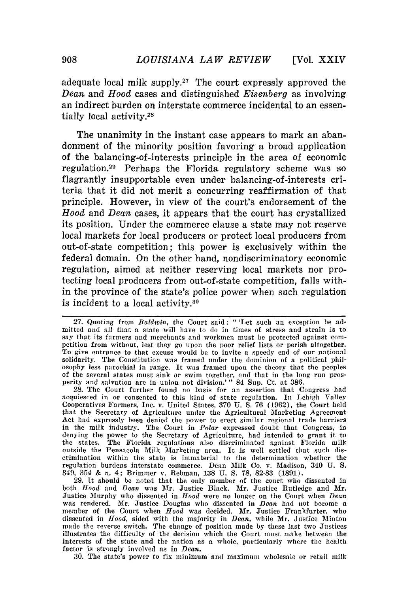adequate local milk **supply.<sup>27</sup>**The court expressly approved the *Dean* and *Hood* cases and distinguished *Eisenberg* as involving an indirect burden on interstate commerce incidental to an essentially local activity.<sup>28</sup>

The unanimity in the instant case appears to mark an abandonment of the minority position favoring a broad application of the balancing-of-interests principle in the area of economic regulation. 29 Perhaps the Florida regulatory scheme was so flagrantly insupportable even under balancing-of-interests criteria that it did not merit a concurring reaffirmation of that principle. However, in view of the court's endorsement of the *Hood* and *Dean* cases, it appears that the court has crystallized its position. Under the commerce clause a state may not reserve local markets for local producers or protect local producers from out-of-state competition; this power is exclusively within the federal domain. On the other hand, nondiscriminatory economic regulation, aimed at neither reserving local markets nor protecting local producers from out-of-state competition, falls within the province of the state's police power when such regulation is incident to a local activity. $30$ 

28. The Court further found no basis for an assertion that Congress had acquiesced in or consented to this kind of state regulation. In Lehigh Valley Cooperatives Farmers, Inc. v. United States, **370** U. S. 76 (1962), the Court held that the Secretary of Agriculture under the Agricultural Marketing Agreement Act had expressly been denied the power to erect similar regional trade barriers in the milk industry. The Court in *Polar* expressed doubt that Congress, in denying the power to the Secretary of Agriculture, had intended to grant it to the states. The Florida regulations also discriminated against Florida milk outside the Pensacola Milk Marketing area. It is well settled that such discrimination within the state is immaterial to the determination whether the regulation burdens interstate commerce. Dean Milk Co. v. Madison, 340 U. **S.** 349, 354 & n. 4; Brimmer v. Rebman, 138 U. **S.** 78, 82-83 (1891).

29. It should be noted that the only member of the court who dissented in both *Hood* and *Dean* was Mr. Justice Black. Mr. Justice Rutledge and Mr. Justice Murphy who dissented in *Hood* were no longer on the Court when *Dean* was rendered. Mr. Justice Douglas who dissented in *Dean* had not become a member of the Court when *Hood* was decided. Mr. Justice Frankfurter dissented in *Hood,* sided with the majority in *Dean,* while Mr. Justice Minton made the reverse switch. The change of position made by these last two Justices illustrates the difficulty of the decision which the Court must make between the interests of the state and the nation as a whole, particularly where the health factor is strongly involved as in *Dean.*

**30.** The state's power to fix minimum and maximum wholesale or retail milk

<sup>27.</sup> Quoting from *Baldwin,* the Court said: " 'Let such an exception be admitted and all that a state will have to do in times of stress and strain is to say that its farmers and merchants and workmen must be protected against com- petition from without, lest they go upon the poor relief lists or perish altogether. To give entrance to that excuse would be to invite a speedy end of our national solidarity. The Constitution was framed under the dominion of a political phil- osophy less parochial in range. It was framed upon the theory that the peoples of the several states must sink or swim together, and that in the long run prosperity and salvation are in union not division.'" 84 Sup. Ct. at 386.